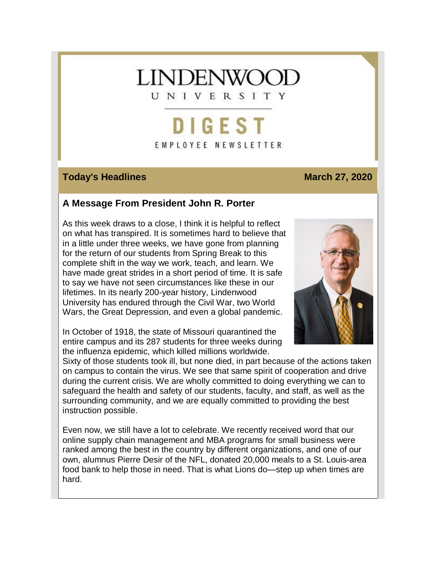# **LINDENWOC**

UNIVERSITY

## **DIGEST** EMPLOYEE NEWSLETTER

#### **Today's Headlines March 27, 2020**

#### **A Message From President John R. Porter**

As this week draws to a close, I think it is helpful to reflect on what has transpired. It is sometimes hard to believe that in a little under three weeks, we have gone from planning for the return of our students from Spring Break to this complete shift in the way we work, teach, and learn. We have made great strides in a short period of time. It is safe to say we have not seen circumstances like these in our lifetimes. In its nearly 200-year history, Lindenwood University has endured through the Civil War, two World Wars, the Great Depression, and even a global pandemic.

In October of 1918, the state of Missouri quarantined the entire campus and its 287 students for three weeks during the influenza epidemic, which killed millions worldwide.



Sixty of those students took ill, but none died, in part because of the actions taken on campus to contain the virus. We see that same spirit of cooperation and drive during the current crisis. We are wholly committed to doing everything we can to safeguard the health and safety of our students, faculty, and staff, as well as the surrounding community, and we are equally committed to providing the best instruction possible.

Even now, we still have a lot to celebrate. We recently received word that our online supply chain management and MBA programs for small business were ranked among the best in the country by different organizations, and one of our own, alumnus Pierre Desir of the NFL, donated 20,000 meals to a St. Louis-area food bank to help those in need. That is what Lions do—step up when times are hard.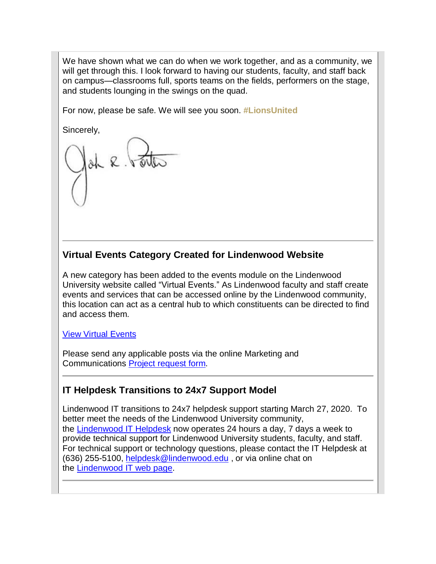We have shown what we can do when we work together, and as a community, we will get through this. I look forward to having our students, faculty, and staff back on campus—classrooms full, sports teams on the fields, performers on the stage, and students lounging in the swings on the quad.

For now, please be safe. We will see you soon. **#LionsUnited**

Sincerely,

### **Virtual Events Category Created for Lindenwood Website**

A new category has been added to the events module on the Lindenwood University website called "Virtual Events." As Lindenwood faculty and staff create events and services that can be accessed online by the Lindenwood community, this location can act as a central hub to which constituents can be directed to find and access them.

#### View Virtual [Events](https://hes32-ctp.trendmicro.com/wis/clicktime/v1/query?url=https%3a%2f%2fcustapp.marketvolt.com%2flink%2fquoziwAClT%3fCM%3d1485978655%26X%3d70525052&umid=01fe63ec-40e8-49f8-97b2-69cf90cc5ae9&auth=bc7ac43e330fa629f0cfb11786c85e83c10d06b8-42062a09c6f06f43b5a3e4d97d825e54fc3b9e77)

Please send any applicable posts via the online Marketing and Communications Project [request](https://hes32-ctp.trendmicro.com/wis/clicktime/v1/query?url=https%3a%2f%2fcustapp.marketvolt.com%2flink%2ffv4ufFTt9G%3fCM%3d1485978655%26X%3d70525052&umid=01fe63ec-40e8-49f8-97b2-69cf90cc5ae9&auth=bc7ac43e330fa629f0cfb11786c85e83c10d06b8-a79062c7f4637d50fd7abf7984f0a66327064d90) form.

#### **IT Helpdesk Transitions to 24x7 Support Model**

Lindenwood IT transitions to 24x7 helpdesk support starting March 27, 2020. To better meet the needs of the Lindenwood University community, the [Lindenwood](https://hes32-ctp.trendmicro.com/wis/clicktime/v1/query?url=https%3a%2f%2fcustapp.marketvolt.com%2flink%2fdKl9c2ZsgQ%3fCM%3d1485978655%26X%3d70525052&umid=01fe63ec-40e8-49f8-97b2-69cf90cc5ae9&auth=bc7ac43e330fa629f0cfb11786c85e83c10d06b8-f777bf7bf1d81ff92d73b273fa355b4a36182bf0) IT Helpdesk now operates 24 hours a day, 7 days a week to provide technical support for Lindenwood University students, faculty, and staff. For technical support or technology questions, please contact the IT Helpdesk at (636) 255-5100, [helpdesk@lindenwood.edu](mailto:helpdesk@lindenwood.edu) , or via online chat on the [Lindenwood](https://hes32-ctp.trendmicro.com/wis/clicktime/v1/query?url=https%3a%2f%2fcustapp.marketvolt.com%2flink%2fcwft2GhPhu%3fCM%3d1485978655%26X%3d70525052&umid=01fe63ec-40e8-49f8-97b2-69cf90cc5ae9&auth=bc7ac43e330fa629f0cfb11786c85e83c10d06b8-0a4ffd271cbf3b3e85d5b2ca4fbb4cb83d53acd0) IT web page.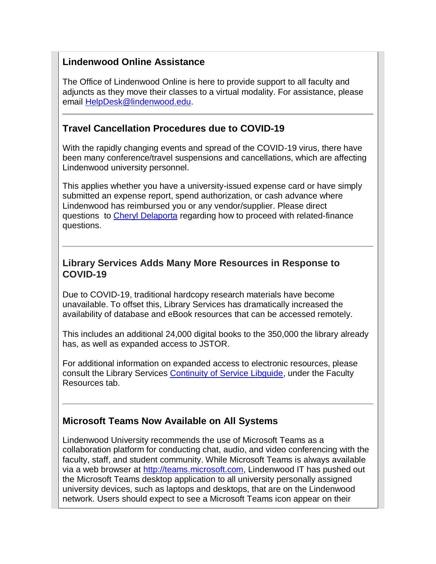#### **Lindenwood Online Assistance**

The Office of Lindenwood Online is here to provide support to all faculty and adjuncts as they move their classes to a virtual modality. For assistance, please email [HelpDesk@lindenwood.edu.](mailto:HelpDesk@lindenwood.edu)

#### **Travel Cancellation Procedures due to COVID-19**

With the rapidly changing events and spread of the COVID-19 virus, there have been many conference/travel suspensions and cancellations, which are affecting Lindenwood university personnel.

This applies whether you have a university-issued expense card or have simply submitted an expense report, spend authorization, or cash advance where Lindenwood has reimbursed you or any vendor/supplier. Please direct questions to [Cheryl Delaporta](mailto:cdelaporta@lindenwood.edu) regarding how to proceed with related-finance questions.

#### **Library Services Adds Many More Resources in Response to COVID-19**

Due to COVID-19, traditional hardcopy research materials have become unavailable. To offset this, Library Services has dramatically increased the availability of database and eBook resources that can be accessed remotely.

This includes an additional 24,000 digital books to the 350,000 the library already has, as well as expanded access to JSTOR.

For additional information on expanded access to electronic resources, please consult the Library Services [Continuity of Service Libguide,](https://hes32-ctp.trendmicro.com/wis/clicktime/v1/query?url=https%3a%2f%2fcustapp.marketvolt.com%2flink%2fgt94Zsp2ER%3fCM%3d1485978655%26X%3d70525052&umid=01fe63ec-40e8-49f8-97b2-69cf90cc5ae9&auth=bc7ac43e330fa629f0cfb11786c85e83c10d06b8-7ee4aedb69a490b202a69bf4d75f7a697f3ee834) under the Faculty Resources tab.

#### **Microsoft Teams Now Available on All Systems**

Lindenwood University recommends the use of Microsoft Teams as a collaboration platform for conducting chat, audio, and video conferencing with the faculty, staff, and student community. While Microsoft Teams is always available via a web browser at [http://teams.microsoft.com,](https://hes32-ctp.trendmicro.com/wis/clicktime/v1/query?url=https%3a%2f%2fcustapp.marketvolt.com%2flink%2fTnQnfCCTSk%3fCM%3d1485978655%26X%3d70525052&umid=01fe63ec-40e8-49f8-97b2-69cf90cc5ae9&auth=bc7ac43e330fa629f0cfb11786c85e83c10d06b8-9e01d824f785d68a24e413d5718cc3b4449da2c9) Lindenwood IT has pushed out the Microsoft Teams desktop application to all university personally assigned university devices, such as laptops and desktops, that are on the Lindenwood network. Users should expect to see a Microsoft Teams icon appear on their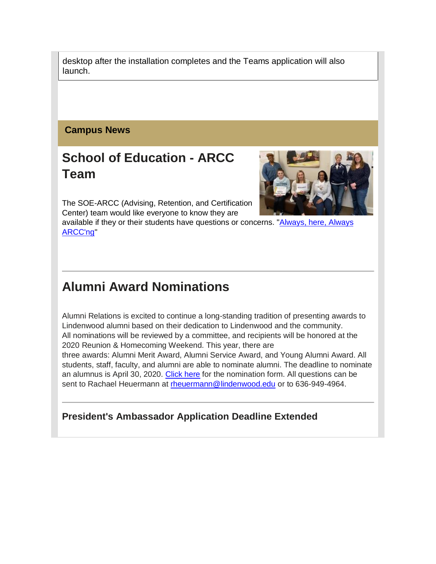desktop after the installation completes and the Teams application will also launch.

#### **Campus News**

### **School of Education - ARCC Team**

The SOE-ARCC (Advising, Retention, and Certification Center) team would like everyone to know they are

available if they or their students have questions or concerns. ["Always,](https://hes32-ctp.trendmicro.com/wis/clicktime/v1/query?url=https%3a%2f%2fcustapp.marketvolt.com%2flink%2fiHFQhmPI6L%3fCM%3d1485978655%26X%3d70525052&umid=01fe63ec-40e8-49f8-97b2-69cf90cc5ae9&auth=bc7ac43e330fa629f0cfb11786c85e83c10d06b8-453f3a7c9334dde4acb4c729ec5dd0177272fd18) here, Always [ARCC'ng"](https://hes32-ctp.trendmicro.com/wis/clicktime/v1/query?url=https%3a%2f%2fcustapp.marketvolt.com%2flink%2fiHFQhmPI6L%3fCM%3d1485978655%26X%3d70525052&umid=01fe63ec-40e8-49f8-97b2-69cf90cc5ae9&auth=bc7ac43e330fa629f0cfb11786c85e83c10d06b8-453f3a7c9334dde4acb4c729ec5dd0177272fd18)

### **Alumni Award Nominations**

Alumni Relations is excited to continue a long-standing tradition of presenting awards to Lindenwood alumni based on their dedication to Lindenwood and the community. All nominations will be reviewed by a committee, and recipients will be honored at the 2020 Reunion & Homecoming Weekend. This year, there are three awards: Alumni Merit Award, Alumni Service Award, and Young Alumni Award. All students, staff, faculty, and alumni are able to nominate alumni. The deadline to nominate an alumnus is April 30, 2020. [Click](https://hes32-ctp.trendmicro.com/wis/clicktime/v1/query?url=https%3a%2f%2fcustapp.marketvolt.com%2flink%2fv1Z5hfkpDn%3fCM%3d1485978655%26X%3d70525052&umid=01fe63ec-40e8-49f8-97b2-69cf90cc5ae9&auth=bc7ac43e330fa629f0cfb11786c85e83c10d06b8-18de7791492f1a81daf19d0a30f0ab7bcbde5b3c) here for the nomination form. All questions can be sent to Rachael Heuermann at [rheuermann@lindenwood.edu](mailto:rheuermann@lindenwood.edu) or to 636-949-4964.

**President's Ambassador Application Deadline Extended**